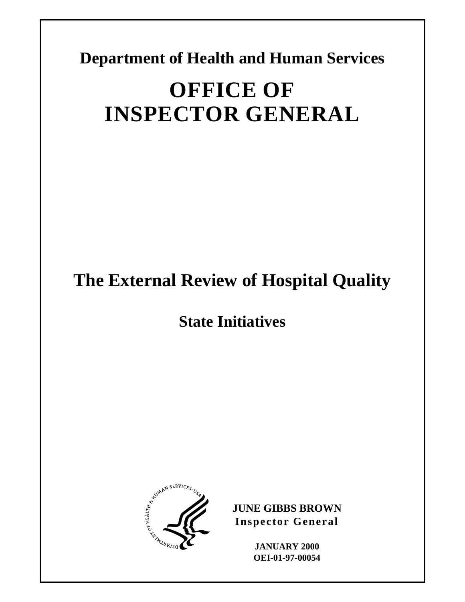**Department of Health and Human Services** 

# **OFFICE OF INSPECTOR GENERAL**

# **The External Review of Hospital Quality**

**State Initiatives** 



**JUNE GIBBS BROWN Inspector General** 

> **JANUARY 2000 OEI-01-97-00054**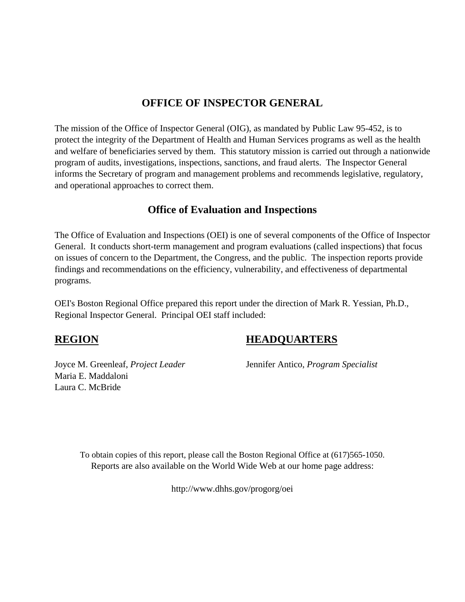## **OFFICE OF INSPECTOR GENERAL**

The mission of the Office of Inspector General (OIG), as mandated by Public Law 95-452, is to protect the integrity of the Department of Health and Human Services programs as well as the health and welfare of beneficiaries served by them. This statutory mission is carried out through a nationwide program of audits, investigations, inspections, sanctions, and fraud alerts. The Inspector General informs the Secretary of program and management problems and recommends legislative, regulatory, and operational approaches to correct them.

# **Office of Evaluation and Inspections**

The Office of Evaluation and Inspections (OEI) is one of several components of the Office of Inspector General. It conducts short-term management and program evaluations (called inspections) that focus on issues of concern to the Department, the Congress, and the public. The inspection reports provide findings and recommendations on the efficiency, vulnerability, and effectiveness of departmental programs.

OEI's Boston Regional Office prepared this report under the direction of Mark R. Yessian, Ph.D., Regional Inspector General. Principal OEI staff included:

Joyce M. Greenleaf, *Project Leader* Jennifer Antico, *Program Specialist* Maria E. Maddaloni Laura C. McBride

# **REGION HEADQUARTERS**

To obtain copies of this report, please call the Boston Regional Office at (617)565-1050. Reports are also available on the World Wide Web at our home page address:

http://www.dhhs.gov/progorg/oei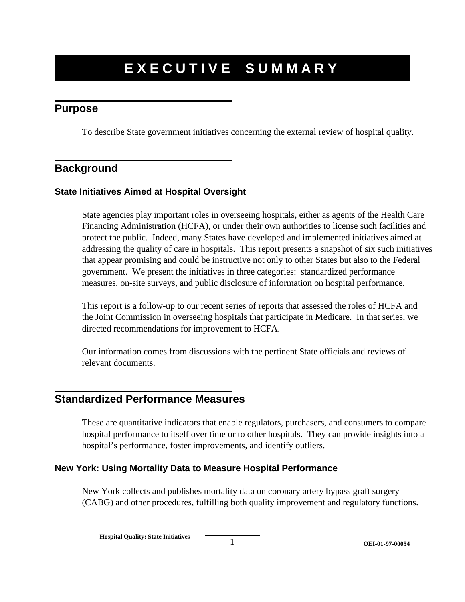# **EXECUTIVE SUMM ARY**

## **Purpose**

To describe State government initiatives concerning the external review of hospital quality.

## **Background**

#### **State Initiatives Aimed at Hospital Oversight**

State agencies play important roles in overseeing hospitals, either as agents of the Health Care Financing Administration (HCFA), or under their own authorities to license such facilities and protect the public. Indeed, many States have developed and implemented initiatives aimed at addressing the quality of care in hospitals. This report presents a snapshot of six such initiatives that appear promising and could be instructive not only to other States but also to the Federal government. We present the initiatives in three categories: standardized performance measures, on-site surveys, and public disclosure of information on hospital performance.

This report is a follow-up to our recent series of reports that assessed the roles of HCFA and the Joint Commission in overseeing hospitals that participate in Medicare. In that series, we directed recommendations for improvement to HCFA.

Our information comes from discussions with the pertinent State officials and reviews of relevant documents.

### **Standardized Performance Measures**

These are quantitative indicators that enable regulators, purchasers, and consumers to compare hospital performance to itself over time or to other hospitals. They can provide insights into a hospital's performance, foster improvements, and identify outliers.

#### **New York: Using Mortality Data to Measure Hospital Performance**

New York collects and publishes mortality data on coronary artery bypass graft surgery (CABG) and other procedures, fulfilling both quality improvement and regulatory functions.

**Hospital Quality: State Initiatives**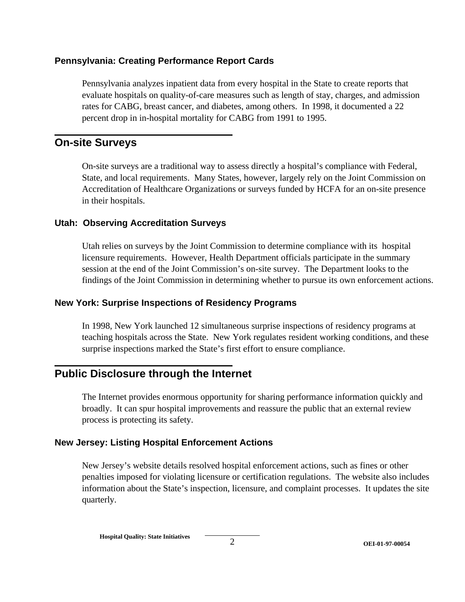#### **Pennsylvania: Creating Performance Report Cards**

Pennsylvania analyzes inpatient data from every hospital in the State to create reports that evaluate hospitals on quality-of-care measures such as length of stay, charges, and admission rates for CABG, breast cancer, and diabetes, among others. In 1998, it documented a 22 percent drop in in-hospital mortality for CABG from 1991 to 1995.

#### **On-site Surveys**

On-site surveys are a traditional way to assess directly a hospital's compliance with Federal, State, and local requirements. Many States, however, largely rely on the Joint Commission on Accreditation of Healthcare Organizations or surveys funded by HCFA for an on-site presence in their hospitals.

#### **Utah: Observing Accreditation Surveys**

Utah relies on surveys by the Joint Commission to determine compliance with its hospital licensure requirements. However, Health Department officials participate in the summary session at the end of the Joint Commission's on-site survey. The Department looks to the findings of the Joint Commission in determining whether to pursue its own enforcement actions.

#### **New York: Surprise Inspections of Residency Programs**

In 1998, New York launched 12 simultaneous surprise inspections of residency programs at teaching hospitals across the State. New York regulates resident working conditions, and these surprise inspections marked the State's first effort to ensure compliance.

# **Public Disclosure through the Internet**

The Internet provides enormous opportunity for sharing performance information quickly and broadly. It can spur hospital improvements and reassure the public that an external review process is protecting its safety.

#### **New Jersey: Listing Hospital Enforcement Actions**

New Jersey's website details resolved hospital enforcement actions, such as fines or other penalties imposed for violating licensure or certification regulations. The website also includes information about the State's inspection, licensure, and complaint processes. It updates the site quarterly.

**Hospital Quality: State Initiatives**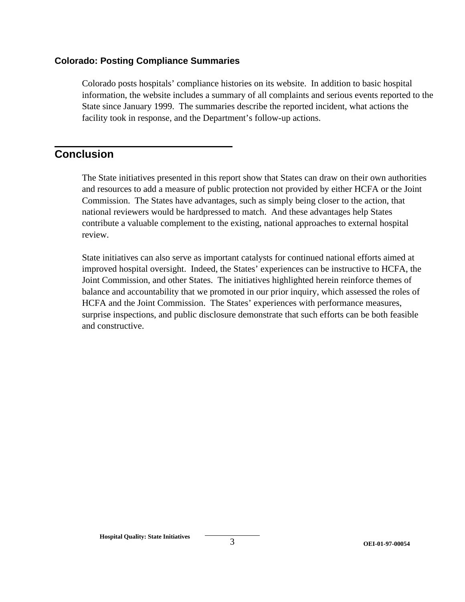#### **Colorado: Posting Compliance Summaries**

Colorado posts hospitals' compliance histories on its website. In addition to basic hospital information, the website includes a summary of all complaints and serious events reported to the State since January 1999. The summaries describe the reported incident, what actions the facility took in response, and the Department's follow-up actions.

#### **Conclusion**

The State initiatives presented in this report show that States can draw on their own authorities and resources to add a measure of public protection not provided by either HCFA or the Joint Commission. The States have advantages, such as simply being closer to the action, that national reviewers would be hardpressed to match. And these advantages help States contribute a valuable complement to the existing, national approaches to external hospital review.

State initiatives can also serve as important catalysts for continued national efforts aimed at improved hospital oversight. Indeed, the States' experiences can be instructive to HCFA, the Joint Commission, and other States. The initiatives highlighted herein reinforce themes of balance and accountability that we promoted in our prior inquiry, which assessed the roles of HCFA and the Joint Commission. The States' experiences with performance measures, surprise inspections, and public disclosure demonstrate that such efforts can be both feasible and constructive.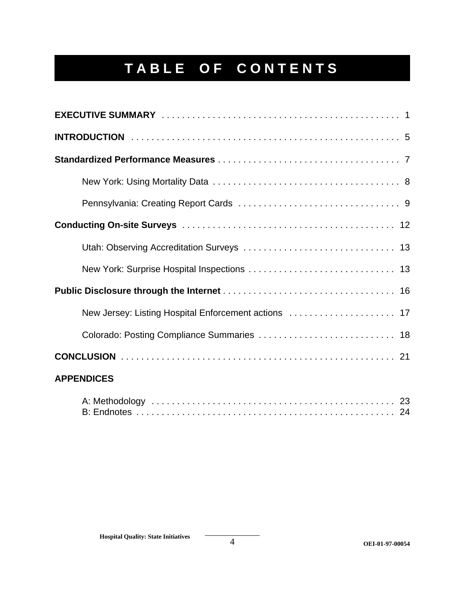# **TABLE OF CONTENTS**

| New Jersey: Listing Hospital Enforcement actions  17 |
|------------------------------------------------------|
| Colorado: Posting Compliance Summaries  18           |
|                                                      |
| <b>APPENDICES</b>                                    |
|                                                      |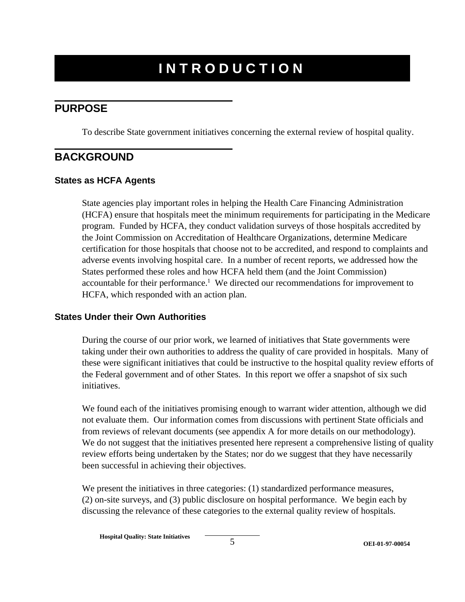# **INTRODUCTION**

## **PURPOSE**

To describe State government initiatives concerning the external review of hospital quality.

### **BACKGROUND**

#### **States as HCFA Agents**

State agencies play important roles in helping the Health Care Financing Administration (HCFA) ensure that hospitals meet the minimum requirements for participating in the Medicare program. Funded by HCFA, they conduct validation surveys of those hospitals accredited by the Joint Commission on Accreditation of Healthcare Organizations, determine Medicare certification for those hospitals that choose not to be accredited, and respond to complaints and adverse events involving hospital care. In a number of recent reports, we addressed how the States performed these roles and how HCFA held them (and the Joint Commission) accountable for their performance.<sup>1</sup> We directed our recommendations for improvement to HCFA, which responded with an action plan.

#### **States Under their Own Authorities**

During the course of our prior work, we learned of initiatives that State governments were taking under their own authorities to address the quality of care provided in hospitals. Many of these were significant initiatives that could be instructive to the hospital quality review efforts of the Federal government and of other States. In this report we offer a snapshot of six such initiatives.

We found each of the initiatives promising enough to warrant wider attention, although we did not evaluate them. Our information comes from discussions with pertinent State officials and from reviews of relevant documents (see appendix A for more details on our methodology). We do not suggest that the initiatives presented here represent a comprehensive listing of quality review efforts being undertaken by the States; nor do we suggest that they have necessarily been successful in achieving their objectives.

We present the initiatives in three categories: (1) standardized performance measures, (2) on-site surveys, and (3) public disclosure on hospital performance. We begin each by discussing the relevance of these categories to the external quality review of hospitals.

**Hospital Quality: State Initiatives**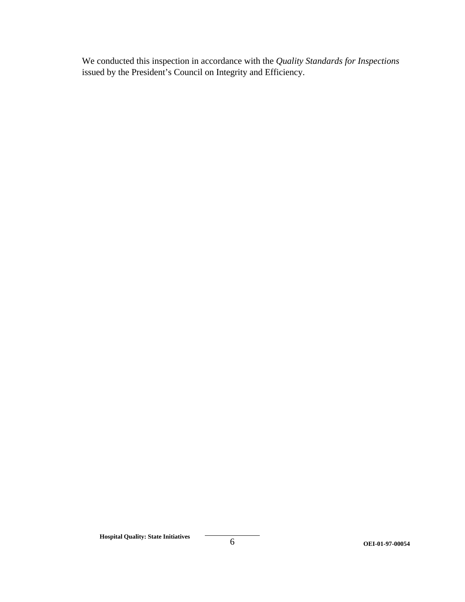We conducted this inspection in accordance with the *Quality Standards for Inspections*  issued by the President's Council on Integrity and Efficiency.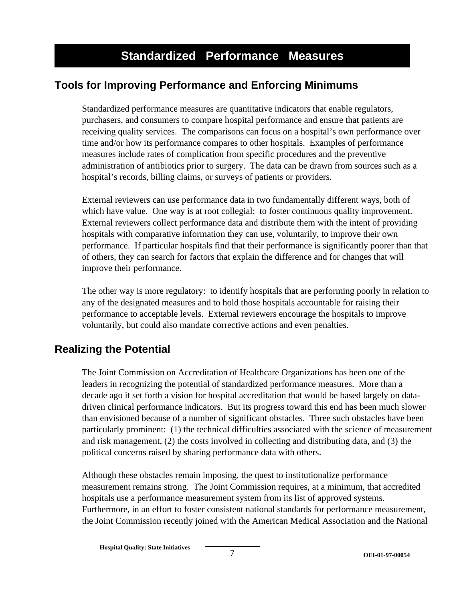# **Tools for Improving Performance and Enforcing Minimums**

Standardized performance measures are quantitative indicators that enable regulators, purchasers, and consumers to compare hospital performance and ensure that patients are receiving quality services. The comparisons can focus on a hospital's own performance over time and/or how its performance compares to other hospitals. Examples of performance measures include rates of complication from specific procedures and the preventive administration of antibiotics prior to surgery. The data can be drawn from sources such as a hospital's records, billing claims, or surveys of patients or providers.

External reviewers can use performance data in two fundamentally different ways, both of which have value. One way is at root collegial: to foster continuous quality improvement. External reviewers collect performance data and distribute them with the intent of providing hospitals with comparative information they can use, voluntarily, to improve their own performance. If particular hospitals find that their performance is significantly poorer than that of others, they can search for factors that explain the difference and for changes that will improve their performance.

The other way is more regulatory: to identify hospitals that are performing poorly in relation to any of the designated measures and to hold those hospitals accountable for raising their performance to acceptable levels. External reviewers encourage the hospitals to improve voluntarily, but could also mandate corrective actions and even penalties.

# **Realizing the Potential**

The Joint Commission on Accreditation of Healthcare Organizations has been one of the leaders in recognizing the potential of standardized performance measures. More than a decade ago it set forth a vision for hospital accreditation that would be based largely on datadriven clinical performance indicators. But its progress toward this end has been much slower than envisioned because of a number of significant obstacles. Three such obstacles have been particularly prominent: (1) the technical difficulties associated with the science of measurement and risk management, (2) the costs involved in collecting and distributing data, and (3) the political concerns raised by sharing performance data with others.

Although these obstacles remain imposing, the quest to institutionalize performance measurement remains strong. The Joint Commission requires, at a minimum, that accredited hospitals use a performance measurement system from its list of approved systems. Furthermore, in an effort to foster consistent national standards for performance measurement, the Joint Commission recently joined with the American Medical Association and the National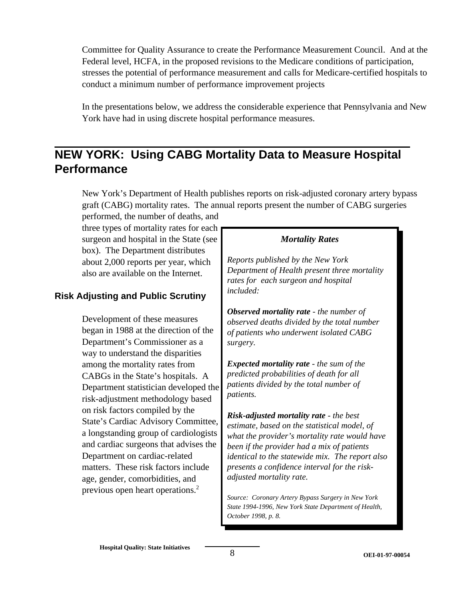Committee for Quality Assurance to create the Performance Measurement Council. And at the Federal level, HCFA, in the proposed revisions to the Medicare conditions of participation, stresses the potential of performance measurement and calls for Medicare-certified hospitals to conduct a minimum number of performance improvement projects

In the presentations below, we address the considerable experience that Pennsylvania and New York have had in using discrete hospital performance measures.

# **NEW YORK: Using CABG Mortality Data to Measure Hospital Performance**

New York's Department of Health publishes reports on risk-adjusted coronary artery bypass graft (CABG) mortality rates. The annual reports present the number of CABG surgeries performed, the number of deaths, and

three types of mortality rates for each surgeon and hospital in the State (see *Mortality Rates*  box). The Department distributes about 2,000 reports per year, which *Reports published by the New York*

# *included:* **Risk Adjusting and Public Scrutiny**

Department's Commissioner as a *surgery.*  way to understand the disparities CABGs in the State's hospitals. A *predicted probabilities of death for all* Department statistician developed the *patients dividend by the total number of the total* number of *patients*. risk-adjustment methodology based age, gender, comorbidities, and *adjusted mortality rate.*  previous open heart operations.2

also are available on the Internet. *Department of Health present three mortality rates for each surgeon and hospital* 

**Observed mortality rate** - the number of **Development of these measures** *observed deaths divided by the total number* **began in 1988 at the direction of the** *of patients who underwent isolated CARG* of patients who underwent isolated CABG

among the mortality rates from *Expected mortality rate* - the sum of the<br>CARGs in the State's hospitals A *predicted probabilities of death for all* 

on risk factors compiled by the<br>State's Cardiac Advisory Committee,<br>a longstanding group of cardiologists<br>and cardiac surgeons that advises the *statistical model, of*<br>*heen if the provider is mortality rate would have*<br> and cardiac surgeons that advises the *been if the provider had a mix of patients*<br>Department on cardiac-related *identical to the statewide mix. The report* identical to the statewide mix. The report also matters. These risk factors include *presents a confidence interval for the risk-*

> *Source: Coronary Artery Bypass Surgery in New York State 1994-1996, New York State Department of Health, October 1998, p. 8.*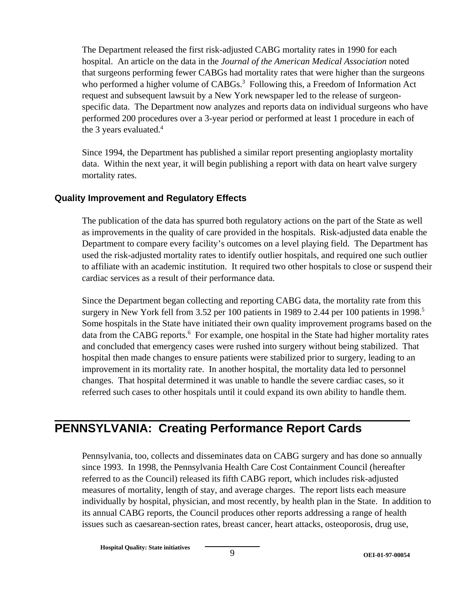The Department released the first risk-adjusted CABG mortality rates in 1990 for each hospital. An article on the data in the *Journal of the American Medical Association* noted that surgeons performing fewer CABGs had mortality rates that were higher than the surgeons who performed a higher volume of CABGs.<sup>3</sup> Following this, a Freedom of Information Act request and subsequent lawsuit by a New York newspaper led to the release of surgeonspecific data. The Department now analyzes and reports data on individual surgeons who have performed 200 procedures over a 3-year period or performed at least 1 procedure in each of the 3 years evaluated. $4$ 

Since 1994, the Department has published a similar report presenting angioplasty mortality data. Within the next year, it will begin publishing a report with data on heart valve surgery mortality rates.

#### **Quality Improvement and Regulatory Effects**

The publication of the data has spurred both regulatory actions on the part of the State as well as improvements in the quality of care provided in the hospitals. Risk-adjusted data enable the Department to compare every facility's outcomes on a level playing field. The Department has used the risk-adjusted mortality rates to identify outlier hospitals, and required one such outlier to affiliate with an academic institution. It required two other hospitals to close or suspend their cardiac services as a result of their performance data.

Since the Department began collecting and reporting CABG data, the mortality rate from this surgery in New York fell from 3.52 per 100 patients in 1989 to 2.44 per 100 patients in 1998.<sup>5</sup> Some hospitals in the State have initiated their own quality improvement programs based on the data from the CABG reports.<sup>6</sup> For example, one hospital in the State had higher mortality rates and concluded that emergency cases were rushed into surgery without being stabilized. That hospital then made changes to ensure patients were stabilized prior to surgery, leading to an improvement in its mortality rate. In another hospital, the mortality data led to personnel changes. That hospital determined it was unable to handle the severe cardiac cases, so it referred such cases to other hospitals until it could expand its own ability to handle them.

# **PENNSYLVANIA: Creating Performance Report Cards**

Pennsylvania, too, collects and disseminates data on CABG surgery and has done so annually since 1993. In 1998, the Pennsylvania Health Care Cost Containment Council (hereafter referred to as the Council) released its fifth CABG report, which includes risk-adjusted measures of mortality, length of stay, and average charges. The report lists each measure individually by hospital, physician, and most recently, by health plan in the State. In addition to its annual CABG reports, the Council produces other reports addressing a range of health issues such as caesarean-section rates, breast cancer, heart attacks, osteoporosis, drug use,

**Hospital Quality: State initiatives**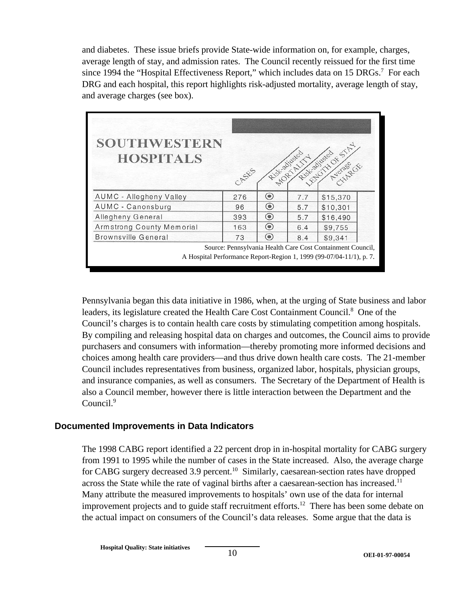and diabetes. These issue briefs provide State-wide information on, for example, charges, average length of stay, and admission rates. The Council recently reissued for the first time since 1994 the "Hospital Effectiveness Report," which includes data on 15 DRGs.<sup>7</sup> For each DRG and each hospital, this report highlights risk-adjusted mortality, average length of stay, and average charges (see box).

| <b>SOUTHWESTERN</b><br><b>HOSPITALS</b> | CASSES |                |     | Right Assembly Assembly |
|-----------------------------------------|--------|----------------|-----|-------------------------|
| <b>AUMC - Allegheny Valley</b>          | 276    | $\circledast$  | 7.7 | \$15,370                |
| AUMC - Canonsburg                       | 96     | $\circledast$  | 5.7 | \$10,301                |
| Allegheny General                       | 393    | $\circledast$  | 5.7 | \$16,490                |
| Armstrong County Memorial               | 163    | $\circledcirc$ | 6.4 | \$9,755                 |
| <b>Brownsville General</b>              | 73     | $\circledast$  | 8.4 | \$9,341                 |
|                                         |        |                |     |                         |

Pennsylvania began this data initiative in 1986, when, at the urging of State business and labor leaders, its legislature created the Health Care Cost Containment Council.<sup>8</sup> One of the Council's charges is to contain health care costs by stimulating competition among hospitals. By compiling and releasing hospital data on charges and outcomes, the Council aims to provide purchasers and consumers with information—thereby promoting more informed decisions and choices among health care providers—and thus drive down health care costs. The 21-member Council includes representatives from business, organized labor, hospitals, physician groups, and insurance companies, as well as consumers. The Secretary of the Department of Health is also a Council member, however there is little interaction between the Department and the Council.<sup>9</sup>

#### **Documented Improvements in Data Indicators**

The 1998 CABG report identified a 22 percent drop in in-hospital mortality for CABG surgery from 1991 to 1995 while the number of cases in the State increased. Also, the average charge for CABG surgery decreased 3.9 percent.<sup>10</sup> Similarly, caesarean-section rates have dropped across the State while the rate of vaginal births after a caesarean-section has increased.<sup>11</sup> Many attribute the measured improvements to hospitals' own use of the data for internal improvement projects and to guide staff recruitment efforts.<sup>12</sup> There has been some debate on the actual impact on consumers of the Council's data releases. Some argue that the data is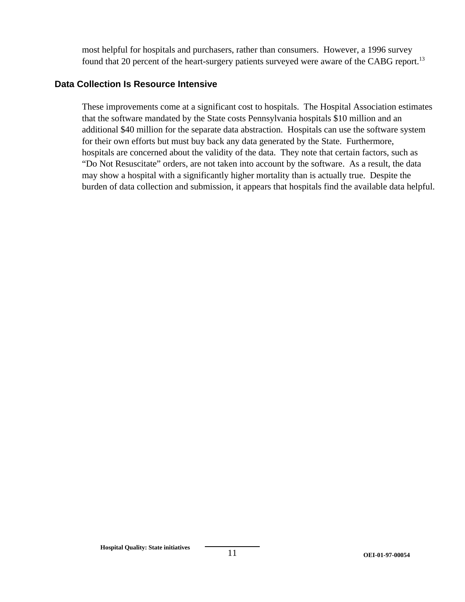most helpful for hospitals and purchasers, rather than consumers. However, a 1996 survey found that 20 percent of the heart-surgery patients surveyed were aware of the CABG report.<sup>13</sup>

#### **Data Collection Is Resource Intensive**

These improvements come at a significant cost to hospitals. The Hospital Association estimates that the software mandated by the State costs Pennsylvania hospitals \$10 million and an additional \$40 million for the separate data abstraction. Hospitals can use the software system for their own efforts but must buy back any data generated by the State. Furthermore, hospitals are concerned about the validity of the data. They note that certain factors, such as "Do Not Resuscitate" orders, are not taken into account by the software. As a result, the data may show a hospital with a significantly higher mortality than is actually true. Despite the burden of data collection and submission, it appears that hospitals find the available data helpful.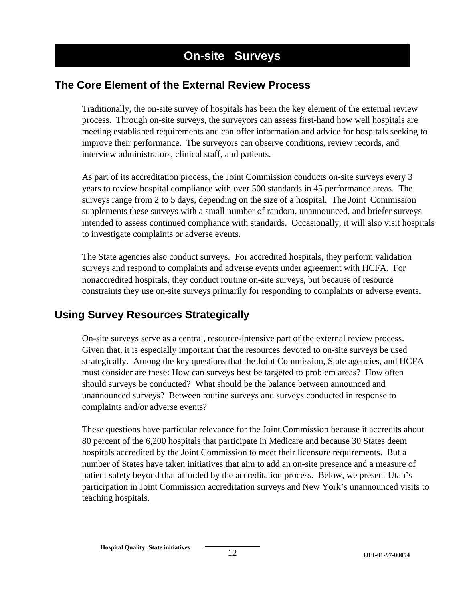# **The Core Element of the External Review Process**

Traditionally, the on-site survey of hospitals has been the key element of the external review process. Through on-site surveys, the surveyors can assess first-hand how well hospitals are meeting established requirements and can offer information and advice for hospitals seeking to improve their performance. The surveyors can observe conditions, review records, and interview administrators, clinical staff, and patients.

As part of its accreditation process, the Joint Commission conducts on-site surveys every 3 years to review hospital compliance with over 500 standards in 45 performance areas. The surveys range from 2 to 5 days, depending on the size of a hospital. The Joint Commission supplements these surveys with a small number of random, unannounced, and briefer surveys intended to assess continued compliance with standards. Occasionally, it will also visit hospitals to investigate complaints or adverse events.

The State agencies also conduct surveys. For accredited hospitals, they perform validation surveys and respond to complaints and adverse events under agreement with HCFA. For nonaccredited hospitals, they conduct routine on-site surveys, but because of resource constraints they use on-site surveys primarily for responding to complaints or adverse events.

# **Using Survey Resources Strategically**

On-site surveys serve as a central, resource-intensive part of the external review process. Given that, it is especially important that the resources devoted to on-site surveys be used strategically. Among the key questions that the Joint Commission, State agencies, and HCFA must consider are these: How can surveys best be targeted to problem areas? How often should surveys be conducted? What should be the balance between announced and unannounced surveys? Between routine surveys and surveys conducted in response to complaints and/or adverse events?

These questions have particular relevance for the Joint Commission because it accredits about 80 percent of the 6,200 hospitals that participate in Medicare and because 30 States deem hospitals accredited by the Joint Commission to meet their licensure requirements. But a number of States have taken initiatives that aim to add an on-site presence and a measure of patient safety beyond that afforded by the accreditation process. Below, we present Utah's participation in Joint Commission accreditation surveys and New York's unannounced visits to teaching hospitals.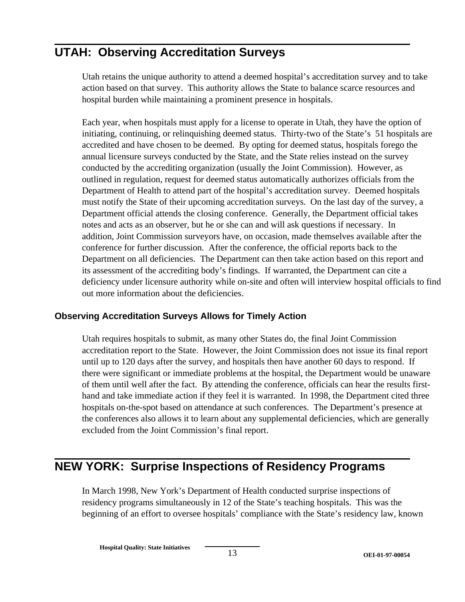# **UTAH: Observing Accreditation Surveys**

Utah retains the unique authority to attend a deemed hospital's accreditation survey and to take action based on that survey. This authority allows the State to balance scarce resources and hospital burden while maintaining a prominent presence in hospitals.

Each year, when hospitals must apply for a license to operate in Utah, they have the option of initiating, continuing, or relinquishing deemed status. Thirty-two of the State's 51 hospitals are accredited and have chosen to be deemed. By opting for deemed status, hospitals forego the annual licensure surveys conducted by the State, and the State relies instead on the survey conducted by the accrediting organization (usually the Joint Commission). However, as outlined in regulation, request for deemed status automatically authorizes officials from the Department of Health to attend part of the hospital's accreditation survey. Deemed hospitals must notify the State of their upcoming accreditation surveys. On the last day of the survey, a Department official attends the closing conference. Generally, the Department official takes notes and acts as an observer, but he or she can and will ask questions if necessary. In addition, Joint Commission surveyors have, on occasion, made themselves available after the conference for further discussion. After the conference, the official reports back to the Department on all deficiencies. The Department can then take action based on this report and its assessment of the accrediting body's findings. If warranted, the Department can cite a deficiency under licensure authority while on-site and often will interview hospital officials to find out more information about the deficiencies.

#### **Observing Accreditation Surveys Allows for Timely Action**

Utah requires hospitals to submit, as many other States do, the final Joint Commission accreditation report to the State. However, the Joint Commission does not issue its final report until up to 120 days after the survey, and hospitals then have another 60 days to respond. If there were significant or immediate problems at the hospital, the Department would be unaware of them until well after the fact. By attending the conference, officials can hear the results firsthand and take immediate action if they feel it is warranted. In 1998, the Department cited three hospitals on-the-spot based on attendance at such conferences. The Department's presence at the conferences also allows it to learn about any supplemental deficiencies, which are generally excluded from the Joint Commission's final report.

# **NEW YORK: Surprise Inspections of Residency Programs**

In March 1998, New York's Department of Health conducted surprise inspections of residency programs simultaneously in 12 of the State's teaching hospitals. This was the beginning of an effort to oversee hospitals' compliance with the State's residency law, known

**Hospital Quality: State Initiatives**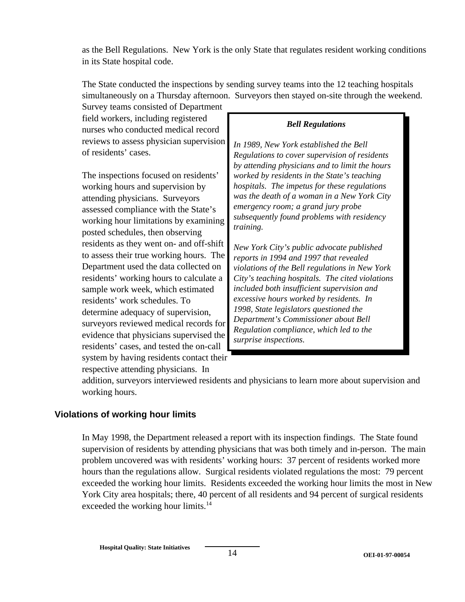as the Bell Regulations. New York is the only State that regulates resident working conditions in its State hospital code.

The State conducted the inspections by sending survey teams into the 12 teaching hospitals simultaneously on a Thursday afternoon. Surveyors then stayed on-site through the weekend.

Survey teams consisted of Department field workers, including registered nurses who conducted medical record reviews to assess physician supervision of residents' cases.

The inspections focused on residents' working hours and supervision by attending physicians. Surveyors assessed compliance with the State's working hour limitations by examining posted schedules, then observing residents as they went on- and off-shift to assess their true working hours. The Department used the data collected on residents' working hours to calculate a sample work week, which estimated residents' work schedules. To determine adequacy of supervision, surveyors reviewed medical records for evidence that physicians supervised the residents' cases, and tested the on-call system by having residents contact their respective attending physicians. In

#### *Bell Regulations*

*In 1989, New York established the Bell Regulations to cover supervision of residents by attending physicians and to limit the hours worked by residents in the State's teaching hospitals. The impetus for these regulations was the death of a woman in a New York City emergency room; a grand jury probe subsequently found problems with residency training.* 

*New York City's public advocate published reports in 1994 and 1997 that revealed violations of the Bell regulations in New York City's teaching hospitals. The cited violations included both insufficient supervision and excessive hours worked by residents. In 1998, State legislators questioned the Department's Commissioner about Bell Regulation compliance, which led to the surprise inspections.* 

addition, surveyors interviewed residents and physicians to learn more about supervision and working hours.

#### **Violations of working hour limits**

In May 1998, the Department released a report with its inspection findings. The State found supervision of residents by attending physicians that was both timely and in-person. The main problem uncovered was with residents' working hours: 37 percent of residents worked more hours than the regulations allow. Surgical residents violated regulations the most: 79 percent exceeded the working hour limits. Residents exceeded the working hour limits the most in New York City area hospitals; there, 40 percent of all residents and 94 percent of surgical residents exceeded the working hour limits.<sup>14</sup>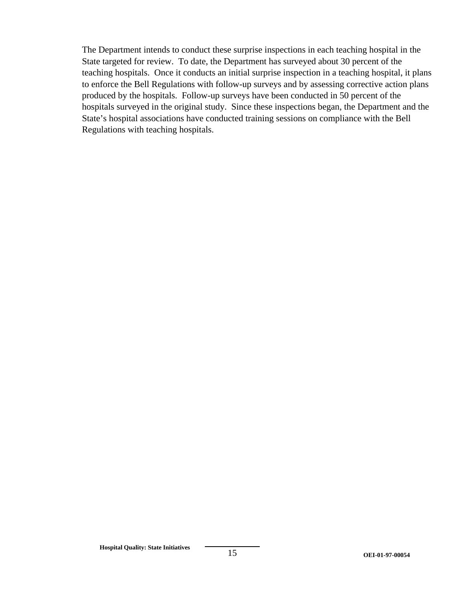The Department intends to conduct these surprise inspections in each teaching hospital in the State targeted for review. To date, the Department has surveyed about 30 percent of the teaching hospitals. Once it conducts an initial surprise inspection in a teaching hospital, it plans to enforce the Bell Regulations with follow-up surveys and by assessing corrective action plans produced by the hospitals. Follow-up surveys have been conducted in 50 percent of the hospitals surveyed in the original study. Since these inspections began, the Department and the State's hospital associations have conducted training sessions on compliance with the Bell Regulations with teaching hospitals.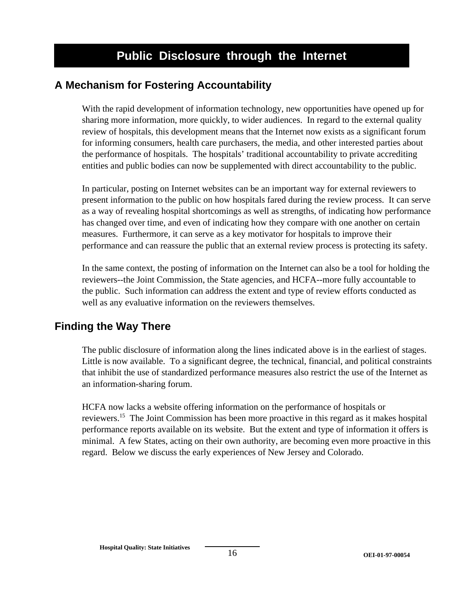# **A Mechanism for Fostering Accountability**

With the rapid development of information technology, new opportunities have opened up for sharing more information, more quickly, to wider audiences. In regard to the external quality review of hospitals, this development means that the Internet now exists as a significant forum for informing consumers, health care purchasers, the media, and other interested parties about the performance of hospitals. The hospitals' traditional accountability to private accrediting entities and public bodies can now be supplemented with direct accountability to the public.

In particular, posting on Internet websites can be an important way for external reviewers to present information to the public on how hospitals fared during the review process. It can serve as a way of revealing hospital shortcomings as well as strengths, of indicating how performance has changed over time, and even of indicating how they compare with one another on certain measures. Furthermore, it can serve as a key motivator for hospitals to improve their performance and can reassure the public that an external review process is protecting its safety.

In the same context, the posting of information on the Internet can also be a tool for holding the reviewers--the Joint Commission, the State agencies, and HCFA--more fully accountable to the public. Such information can address the extent and type of review efforts conducted as well as any evaluative information on the reviewers themselves.

# **Finding the Way There**

The public disclosure of information along the lines indicated above is in the earliest of stages. Little is now available. To a significant degree, the technical, financial, and political constraints that inhibit the use of standardized performance measures also restrict the use of the Internet as an information-sharing forum.

HCFA now lacks a website offering information on the performance of hospitals or reviewers.<sup>15</sup> The Joint Commission has been more proactive in this regard as it makes hospital performance reports available on its website. But the extent and type of information it offers is minimal. A few States, acting on their own authority, are becoming even more proactive in this regard. Below we discuss the early experiences of New Jersey and Colorado.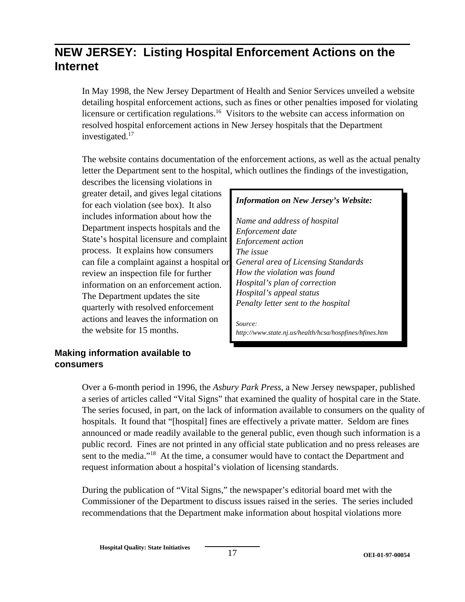# **NEW JERSEY: Listing Hospital Enforcement Actions on the Internet**

In May 1998, the New Jersey Department of Health and Senior Services unveiled a website detailing hospital enforcement actions, such as fines or other penalties imposed for violating licensure or certification regulations.<sup>16</sup> Visitors to the website can access information on resolved hospital enforcement actions in New Jersey hospitals that the Department investigated.<sup>17</sup>

The website contains documentation of the enforcement actions, as well as the actual penalty letter the Department sent to the hospital, which outlines the findings of the investigation,

describes the licensing violations in greater detail, and gives legal citations for each violation (see box). It also includes information about how the Department inspects hospitals and the State's hospital licensure and complaint process. It explains how consumers can file a complaint against a hospital or review an inspection file for further information on an enforcement action. The Department updates the site quarterly with resolved enforcement actions and leaves the information on the website for 15 months.

### *Information on New Jersey's Website:*

*Name and address of hospital Enforcement date Enforcement action The issue General area of Licensing Standards How the violation was found Hospital's plan of correction Hospital's appeal status Penalty letter sent to the hospital*

*Source: http://www.state.nj.us/health/hcsa/hospfines/hfines.htm* 

#### **Making information available to consumers**

Over a 6-month period in 1996, the *Asbury Park Press*, a New Jersey newspaper, published a series of articles called "Vital Signs" that examined the quality of hospital care in the State. The series focused, in part, on the lack of information available to consumers on the quality of hospitals. It found that "[hospital] fines are effectively a private matter. Seldom are fines announced or made readily available to the general public, even though such information is a public record. Fines are not printed in any official state publication and no press releases are sent to the media."<sup>18</sup> At the time, a consumer would have to contact the Department and request information about a hospital's violation of licensing standards.

During the publication of "Vital Signs," the newspaper's editorial board met with the Commissioner of the Department to discuss issues raised in the series. The series included recommendations that the Department make information about hospital violations more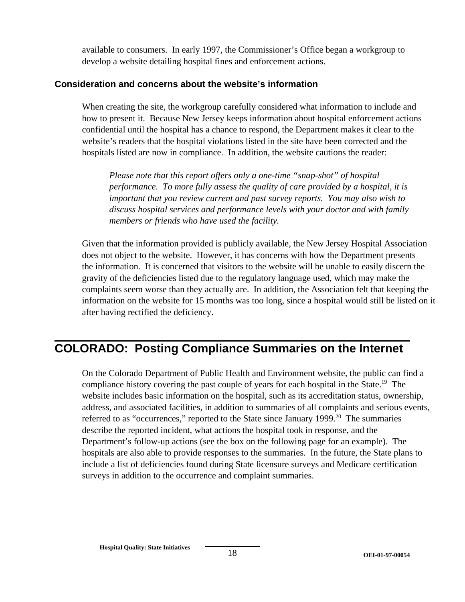available to consumers. In early 1997, the Commissioner's Office began a workgroup to develop a website detailing hospital fines and enforcement actions.

#### **Consideration and concerns about the website's information**

When creating the site, the workgroup carefully considered what information to include and how to present it. Because New Jersey keeps information about hospital enforcement actions confidential until the hospital has a chance to respond, the Department makes it clear to the website's readers that the hospital violations listed in the site have been corrected and the hospitals listed are now in compliance. In addition, the website cautions the reader:

*Please note that this report offers only a one-time "snap-shot" of hospital performance. To more fully assess the quality of care provided by a hospital, it is important that you review current and past survey reports. You may also wish to discuss hospital services and performance levels with your doctor and with family members or friends who have used the facility.* 

Given that the information provided is publicly available, the New Jersey Hospital Association does not object to the website. However, it has concerns with how the Department presents the information. It is concerned that visitors to the website will be unable to easily discern the gravity of the deficiencies listed due to the regulatory language used, which may make the complaints seem worse than they actually are. In addition, the Association felt that keeping the information on the website for 15 months was too long, since a hospital would still be listed on it after having rectified the deficiency.

# **COLORADO: Posting Compliance Summaries on the Internet**

On the Colorado Department of Public Health and Environment website, the public can find a compliance history covering the past couple of years for each hospital in the State.<sup>19</sup> The website includes basic information on the hospital, such as its accreditation status, ownership, address, and associated facilities, in addition to summaries of all complaints and serious events, referred to as "occurrences," reported to the State since January 1999.<sup>20</sup> The summaries describe the reported incident, what actions the hospital took in response, and the Department's follow-up actions (see the box on the following page for an example). The hospitals are also able to provide responses to the summaries. In the future, the State plans to include a list of deficiencies found during State licensure surveys and Medicare certification surveys in addition to the occurrence and complaint summaries.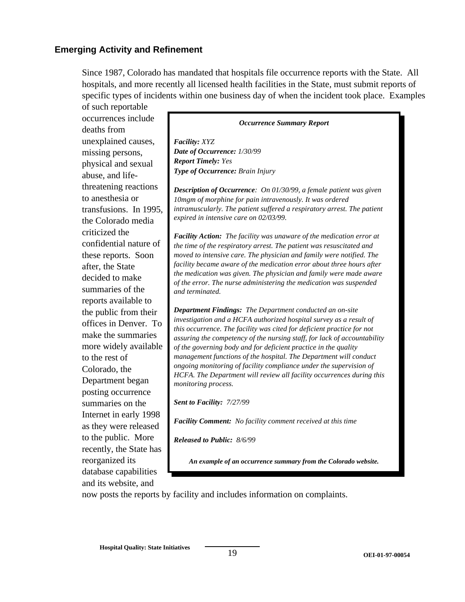#### **Emerging Activity and Refinement**

Since 1987, Colorado has mandated that hospitals file occurrence reports with the State. All hospitals, and more recently all licensed health facilities in the State, must submit reports of specific types of incidents within one business day of when the incident took place. Examples

of such reportable occurrences include deaths from unexplained causes, missing persons, physical and sexual abuse, and lifethreatening reactions to anesthesia or transfusions. In 1995, the Colorado media criticized the confidential nature of these reports. Soon after, the State decided to make summaries of the reports available to the public from their offices in Denver. To make the summaries more widely available to the rest of Colorado, the Department began posting occurrence summaries on the Internet in early 1998 as they were released to the public. More recently, the State has reorganized its database capabilities and its website, and

#### *Occurrence Summary Report*

*Facility: XYZ Date of Occurrence: 1/30/99 Report Timely: Yes Type of Occurrence: Brain Injury* 

*Description of Occurrence: On 01/30/99, a female patient was given 10mgm of morphine for pain intravenously. It was ordered intramuscularly. The patient suffered a respiratory arrest. The patient expired in intensive care on 02/03/99.* 

*Facility Action: The facility was unaware of the medication error at the time of the respiratory arrest. The patient was resuscitated and moved to intensive care. The physician and family were notified. The facility became aware of the medication error about three hours after the medication was given. The physician and family were made aware of the error. The nurse administering the medication was suspended and terminated.* 

*Department Findings: The Department conducted an on-site investigation and a HCFA authorized hospital survey as a result of this occurrence. The facility was cited for deficient practice for not assuring the competency of the nursing staff, for lack of accountability of the governing body and for deficient practice in the quality management functions of the hospital. The Department will conduct ongoing monitoring of facility compliance under the supervision of HCFA. The Department will review all facility occurrences during this monitoring process.* 

*Sent to Facility: 7/27/99* 

*Facility Comment: No facility comment received at this time* 

*Released to Public: 8/6/99* 

*An example of an occurrence summary from the Colorado website.* 

now posts the reports by facility and includes information on complaints.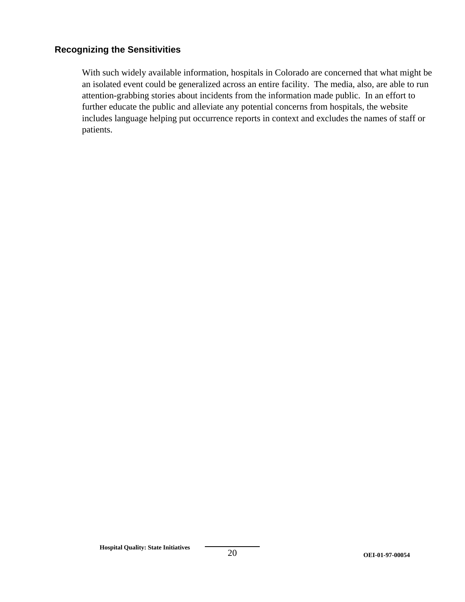#### **Recognizing the Sensitivities**

With such widely available information, hospitals in Colorado are concerned that what might be an isolated event could be generalized across an entire facility. The media, also, are able to run attention-grabbing stories about incidents from the information made public. In an effort to further educate the public and alleviate any potential concerns from hospitals, the website includes language helping put occurrence reports in context and excludes the names of staff or patients.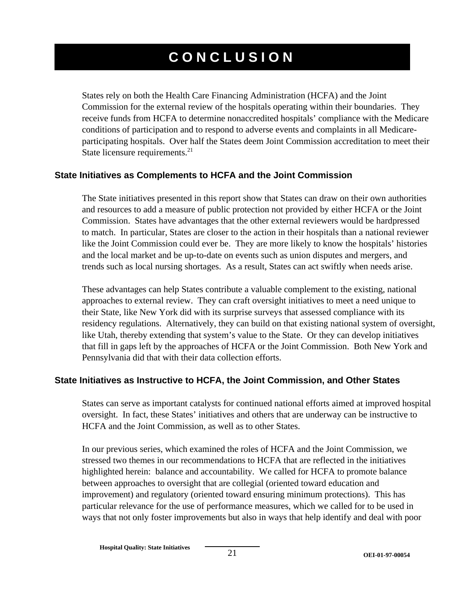# **CONCLUSION**

States rely on both the Health Care Financing Administration (HCFA) and the Joint Commission for the external review of the hospitals operating within their boundaries. They receive funds from HCFA to determine nonaccredited hospitals' compliance with the Medicare conditions of participation and to respond to adverse events and complaints in all Medicareparticipating hospitals. Over half the States deem Joint Commission accreditation to meet their State licensure requirements.<sup>21</sup>

#### **State Initiatives as Complements to HCFA and the Joint Commission**

The State initiatives presented in this report show that States can draw on their own authorities and resources to add a measure of public protection not provided by either HCFA or the Joint Commission. States have advantages that the other external reviewers would be hardpressed to match. In particular, States are closer to the action in their hospitals than a national reviewer like the Joint Commission could ever be. They are more likely to know the hospitals' histories and the local market and be up-to-date on events such as union disputes and mergers, and trends such as local nursing shortages. As a result, States can act swiftly when needs arise.

These advantages can help States contribute a valuable complement to the existing, national approaches to external review. They can craft oversight initiatives to meet a need unique to their State, like New York did with its surprise surveys that assessed compliance with its residency regulations. Alternatively, they can build on that existing national system of oversight, like Utah, thereby extending that system's value to the State. Or they can develop initiatives that fill in gaps left by the approaches of HCFA or the Joint Commission. Both New York and Pennsylvania did that with their data collection efforts.

#### **State Initiatives as Instructive to HCFA, the Joint Commission, and Other States**

States can serve as important catalysts for continued national efforts aimed at improved hospital oversight. In fact, these States' initiatives and others that are underway can be instructive to HCFA and the Joint Commission, as well as to other States.

In our previous series, which examined the roles of HCFA and the Joint Commission, we stressed two themes in our recommendations to HCFA that are reflected in the initiatives highlighted herein: balance and accountability. We called for HCFA to promote balance between approaches to oversight that are collegial (oriented toward education and improvement) and regulatory (oriented toward ensuring minimum protections). This has particular relevance for the use of performance measures, which we called for to be used in ways that not only foster improvements but also in ways that help identify and deal with poor

**Hospital Quality: State Initiatives**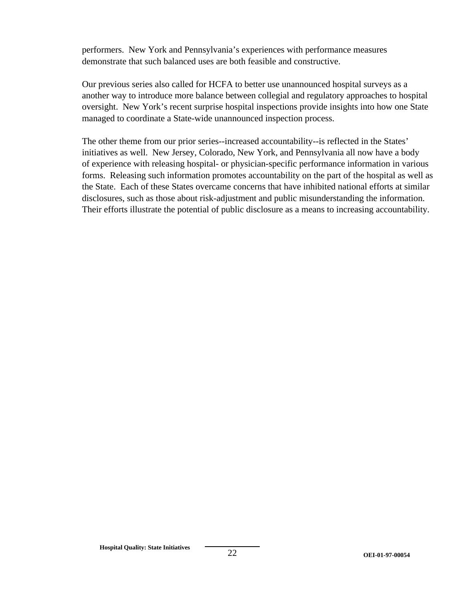performers. New York and Pennsylvania's experiences with performance measures demonstrate that such balanced uses are both feasible and constructive.

Our previous series also called for HCFA to better use unannounced hospital surveys as a another way to introduce more balance between collegial and regulatory approaches to hospital oversight. New York's recent surprise hospital inspections provide insights into how one State managed to coordinate a State-wide unannounced inspection process.

The other theme from our prior series--increased accountability--is reflected in the States' initiatives as well. New Jersey, Colorado, New York, and Pennsylvania all now have a body of experience with releasing hospital- or physician-specific performance information in various forms. Releasing such information promotes accountability on the part of the hospital as well as the State. Each of these States overcame concerns that have inhibited national efforts at similar disclosures, such as those about risk-adjustment and public misunderstanding the information. Their efforts illustrate the potential of public disclosure as a means to increasing accountability.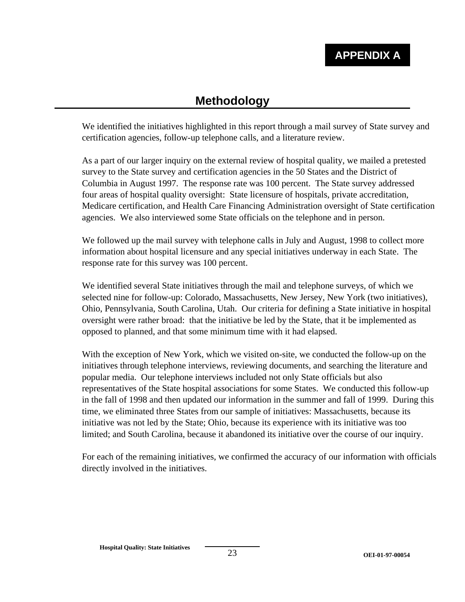# **Methodology**

We identified the initiatives highlighted in this report through a mail survey of State survey and certification agencies, follow-up telephone calls, and a literature review.

As a part of our larger inquiry on the external review of hospital quality, we mailed a pretested survey to the State survey and certification agencies in the 50 States and the District of Columbia in August 1997. The response rate was 100 percent. The State survey addressed four areas of hospital quality oversight: State licensure of hospitals, private accreditation, Medicare certification, and Health Care Financing Administration oversight of State certification agencies. We also interviewed some State officials on the telephone and in person.

We followed up the mail survey with telephone calls in July and August, 1998 to collect more information about hospital licensure and any special initiatives underway in each State. The response rate for this survey was 100 percent.

We identified several State initiatives through the mail and telephone surveys, of which we selected nine for follow-up: Colorado, Massachusetts, New Jersey, New York (two initiatives), Ohio, Pennsylvania, South Carolina, Utah. Our criteria for defining a State initiative in hospital oversight were rather broad: that the initiative be led by the State, that it be implemented as opposed to planned, and that some minimum time with it had elapsed.

With the exception of New York, which we visited on-site, we conducted the follow-up on the initiatives through telephone interviews, reviewing documents, and searching the literature and popular media. Our telephone interviews included not only State officials but also representatives of the State hospital associations for some States. We conducted this follow-up in the fall of 1998 and then updated our information in the summer and fall of 1999. During this time, we eliminated three States from our sample of initiatives: Massachusetts, because its initiative was not led by the State; Ohio, because its experience with its initiative was too limited; and South Carolina, because it abandoned its initiative over the course of our inquiry.

For each of the remaining initiatives, we confirmed the accuracy of our information with officials directly involved in the initiatives.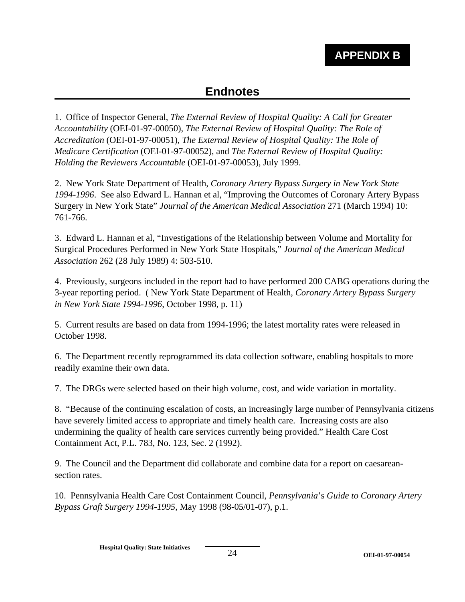# **APPENDIX B**

# **Endnotes**

1. Office of Inspector General, *The External Review of Hospital Quality: A Call for Greater Accountability* (OEI-01-97-00050), *The External Review of Hospital Quality: The Role of Accreditation* (OEI-01-97-00051), *The External Review of Hospital Quality: The Role of Medicare Certification* (OEI-01-97-00052), and *The External Review of Hospital Quality: Holding the Reviewers Accountable* (OEI-01-97-00053), July 1999.

2. New York State Department of Health, *Coronary Artery Bypass Surgery in New York State 1994-1996*. See also Edward L. Hannan et al, "Improving the Outcomes of Coronary Artery Bypass Surgery in New York State" *Journal of the American Medical Association* 271 (March 1994) 10: 761-766.

3. Edward L. Hannan et al, "Investigations of the Relationship between Volume and Mortality for Surgical Procedures Performed in New York State Hospitals," *Journal of the American Medical Association* 262 (28 July 1989) 4: 503-510.

4. Previously, surgeons included in the report had to have performed 200 CABG operations during the 3-year reporting period. ( New York State Department of Health, *Coronary Artery Bypass Surgery in New York State 1994-1996*, October 1998, p. 11)

5. Current results are based on data from 1994-1996; the latest mortality rates were released in October 1998.

6. The Department recently reprogrammed its data collection software, enabling hospitals to more readily examine their own data.

7. The DRGs were selected based on their high volume, cost, and wide variation in mortality.

8. "Because of the continuing escalation of costs, an increasingly large number of Pennsylvania citizens have severely limited access to appropriate and timely health care. Increasing costs are also undermining the quality of health care services currently being provided." Health Care Cost Containment Act, P.L. 783, No. 123, Sec. 2 (1992).

9. The Council and the Department did collaborate and combine data for a report on caesareansection rates.

10. Pennsylvania Health Care Cost Containment Council, *Pennsylvania*'s *Guide to Coronary Artery Bypass Graft Surgery 1994-1995*, May 1998 (98-05/01-07), p.1.